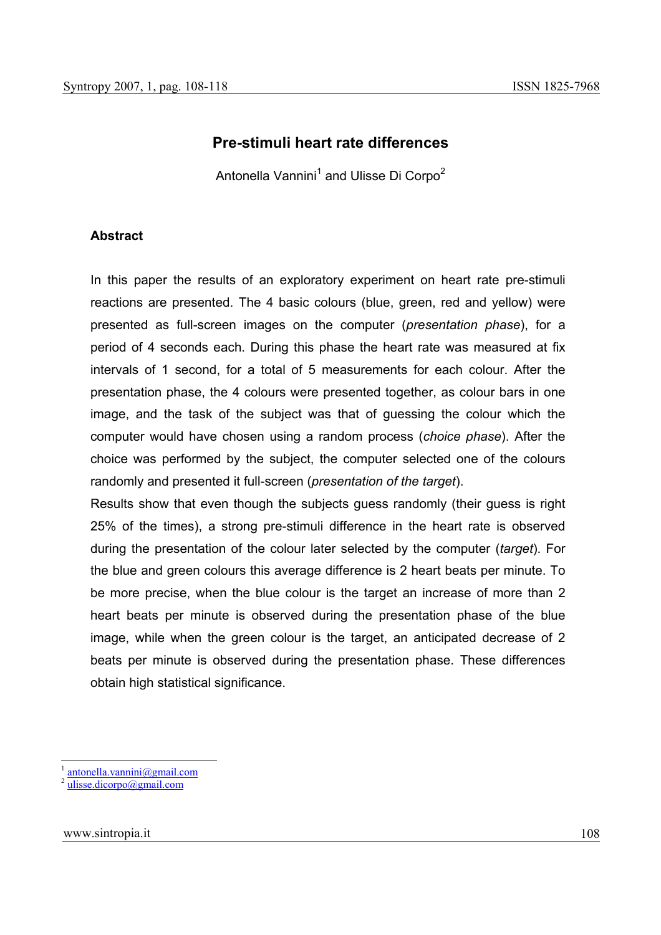# **Pre-stimuli heart rate differences**

Antonella Vannini<sup>1</sup> and Ulisse Di Corpo<sup>2</sup>

#### **Abstract**

In this paper the results of an exploratory experiment on heart rate pre-stimuli reactions are presented. The 4 basic colours (blue, green, red and yellow) were presented as full-screen images on the computer (*presentation phase*), for a period of 4 seconds each. During this phase the heart rate was measured at fix intervals of 1 second, for a total of 5 measurements for each colour. After the presentation phase, the 4 colours were presented together, as colour bars in one image, and the task of the subject was that of guessing the colour which the computer would have chosen using a random process (*choice phase*). After the choice was performed by the subject, the computer selected one of the colours randomly and presented it full-screen (*presentation of the target*).

Results show that even though the subjects guess randomly (their guess is right 25% of the times), a strong pre-stimuli difference in the heart rate is observed during the presentation of the colour later selected by the computer (*target*). For the blue and green colours this average difference is 2 heart beats per minute. To be more precise, when the blue colour is the target an increase of more than 2 heart beats per minute is observed during the presentation phase of the blue image, while when the green colour is the target, an anticipated decrease of 2 beats per minute is observed during the presentation phase. These differences obtain high statistical significance.

<sup>&</sup>lt;sup>1</sup> antonella.vannini@gmail.com<br><sup>2</sup> ulisse.dicorpo@gmail.com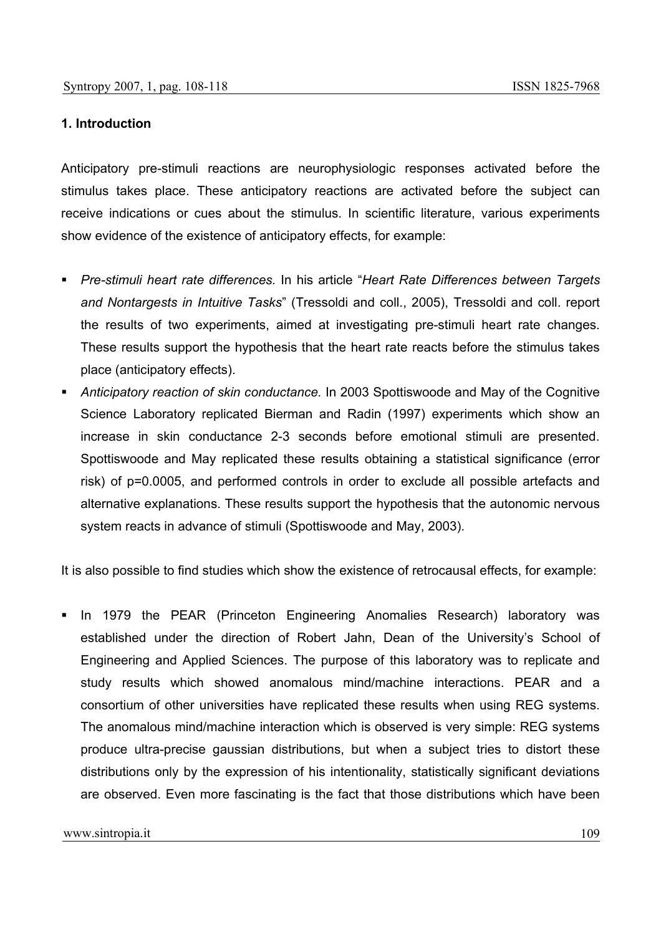#### **1. Introduction**

Anticipatory pre-stimuli reactions are neurophysiologic responses activated before the stimulus takes place. These anticipatory reactions are activated before the subject can receive indications or cues about the stimulus. In scientific literature, various experiments show evidence of the existence of anticipatory effects, for example:

- *Pre-stimuli heart rate differences.* In his article "*Heart Rate Differences between Targets and Nontargests in Intuitive Tasks*" (Tressoldi and coll., 2005), Tressoldi and coll. report the results of two experiments, aimed at investigating pre-stimuli heart rate changes. These results support the hypothesis that the heart rate reacts before the stimulus takes place (anticipatory effects).
- *Anticipatory reaction of skin conductance.* In 2003 Spottiswoode and May of the Cognitive Science Laboratory replicated Bierman and Radin (1997) experiments which show an increase in skin conductance 2-3 seconds before emotional stimuli are presented. Spottiswoode and May replicated these results obtaining a statistical significance (error risk) of p=0.0005, and performed controls in order to exclude all possible artefacts and alternative explanations. These results support the hypothesis that the autonomic nervous system reacts in advance of stimuli (Spottiswoode and May, 2003).

It is also possible to find studies which show the existence of retrocausal effects, for example:

 In 1979 the PEAR (Princeton Engineering Anomalies Research) laboratory was established under the direction of Robert Jahn, Dean of the University's School of Engineering and Applied Sciences. The purpose of this laboratory was to replicate and study results which showed anomalous mind/machine interactions. PEAR and a consortium of other universities have replicated these results when using REG systems. The anomalous mind/machine interaction which is observed is very simple: REG systems produce ultra-precise gaussian distributions, but when a subject tries to distort these distributions only by the expression of his intentionality, statistically significant deviations are observed. Even more fascinating is the fact that those distributions which have been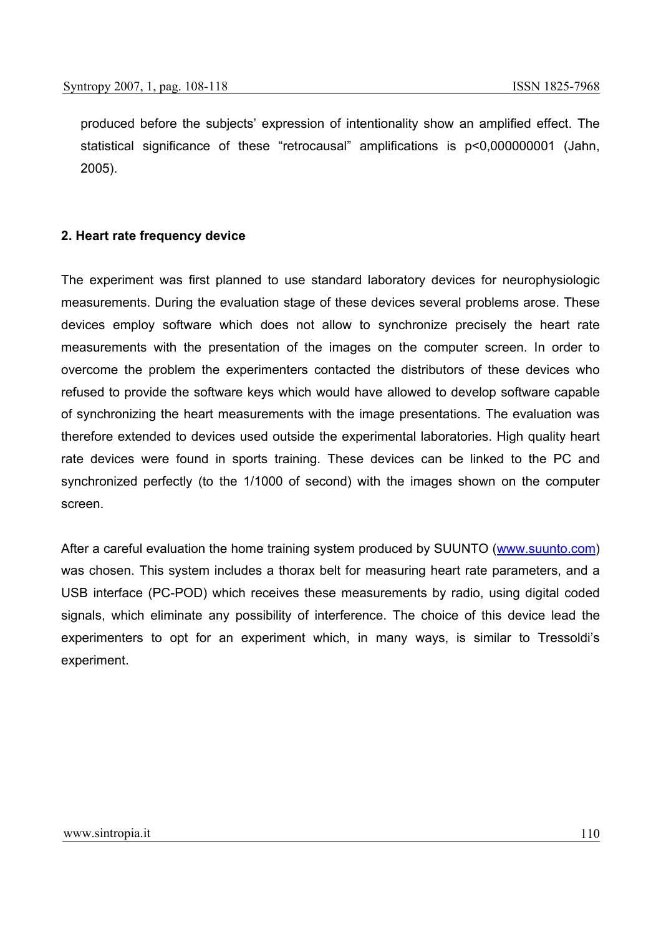produced before the subjects' expression of intentionality show an amplified effect. The statistical significance of these "retrocausal" amplifications is p<0,000000001 (Jahn, 2005).

# **2. Heart rate frequency device**

The experiment was first planned to use standard laboratory devices for neurophysiologic measurements. During the evaluation stage of these devices several problems arose. These devices employ software which does not allow to synchronize precisely the heart rate measurements with the presentation of the images on the computer screen. In order to overcome the problem the experimenters contacted the distributors of these devices who refused to provide the software keys which would have allowed to develop software capable of synchronizing the heart measurements with the image presentations. The evaluation was therefore extended to devices used outside the experimental laboratories. High quality heart rate devices were found in sports training. These devices can be linked to the PC and synchronized perfectly (to the 1/1000 of second) with the images shown on the computer screen.

After a careful evaluation the home training system produced by SUUNTO (www.suunto.com) was chosen. This system includes a thorax belt for measuring heart rate parameters, and a USB interface (PC-POD) which receives these measurements by radio, using digital coded signals, which eliminate any possibility of interference. The choice of this device lead the experimenters to opt for an experiment which, in many ways, is similar to Tressoldi's experiment.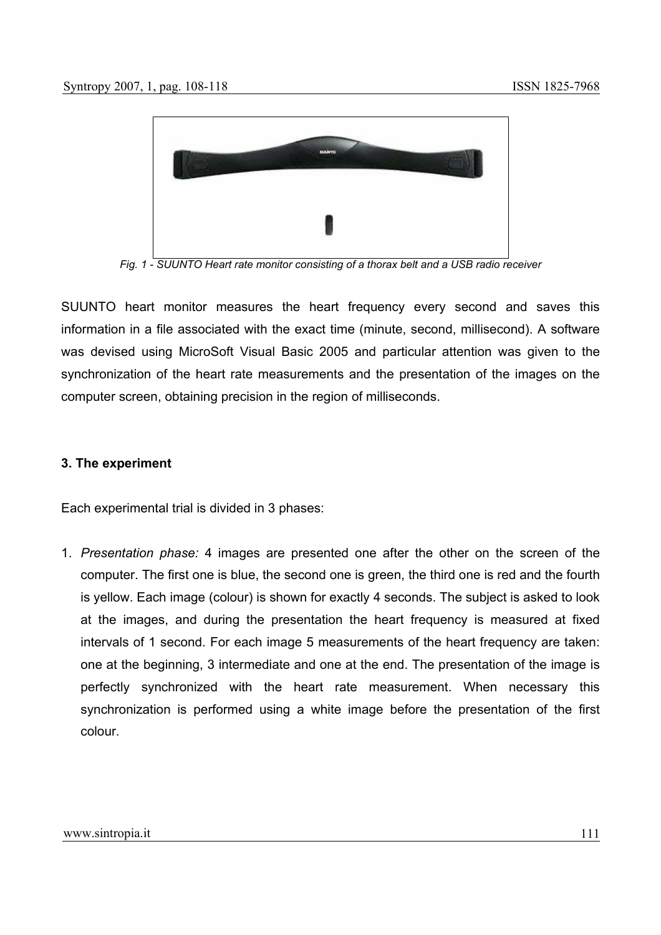

*Fig. 1 - SUUNTO Heart rate monitor consisting of a thorax belt and a USB radio receiver* 

SUUNTO heart monitor measures the heart frequency every second and saves this information in a file associated with the exact time (minute, second, millisecond). A software was devised using MicroSoft Visual Basic 2005 and particular attention was given to the synchronization of the heart rate measurements and the presentation of the images on the computer screen, obtaining precision in the region of milliseconds.

#### **3. The experiment**

Each experimental trial is divided in 3 phases:

1. *Presentation phase:* 4 images are presented one after the other on the screen of the computer. The first one is blue, the second one is green, the third one is red and the fourth is yellow. Each image (colour) is shown for exactly 4 seconds. The subject is asked to look at the images, and during the presentation the heart frequency is measured at fixed intervals of 1 second. For each image 5 measurements of the heart frequency are taken: one at the beginning, 3 intermediate and one at the end. The presentation of the image is perfectly synchronized with the heart rate measurement. When necessary this synchronization is performed using a white image before the presentation of the first colour.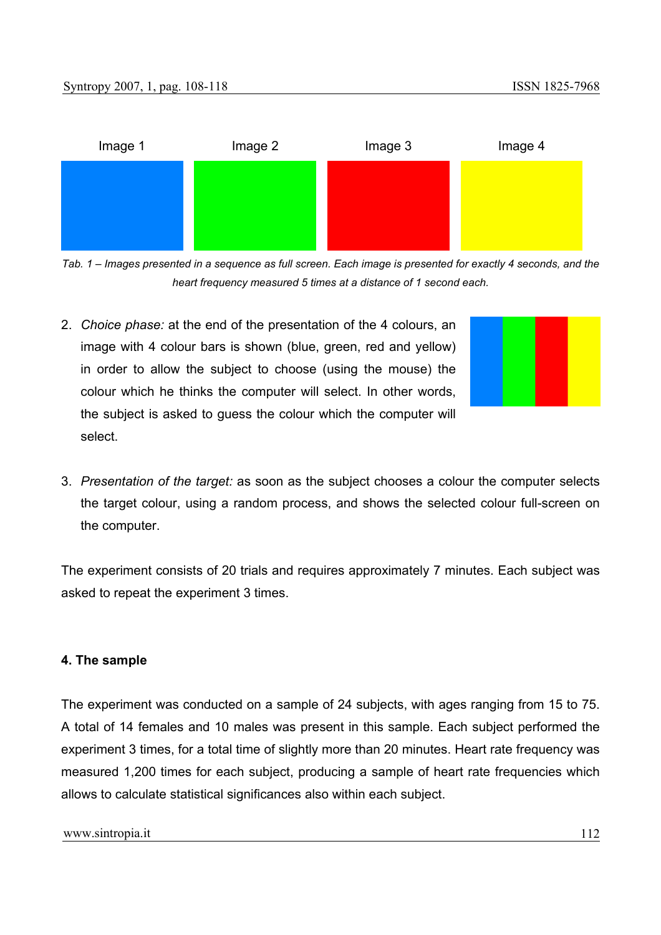

*Tab. 1 – Images presented in a sequence as full screen. Each image is presented for exactly 4 seconds, and the heart frequency measured 5 times at a distance of 1 second each.*

2. *Choice phase:* at the end of the presentation of the 4 colours, an image with 4 colour bars is shown (blue, green, red and yellow) in order to allow the subject to choose (using the mouse) the colour which he thinks the computer will select. In other words, the subject is asked to guess the colour which the computer will select.



3. *Presentation of the target:* as soon as the subject chooses a colour the computer selects the target colour, using a random process, and shows the selected colour full-screen on the computer.

The experiment consists of 20 trials and requires approximately 7 minutes. Each subject was asked to repeat the experiment 3 times.

#### **4. The sample**

The experiment was conducted on a sample of 24 subjects, with ages ranging from 15 to 75. A total of 14 females and 10 males was present in this sample. Each subject performed the experiment 3 times, for a total time of slightly more than 20 minutes. Heart rate frequency was measured 1,200 times for each subject, producing a sample of heart rate frequencies which allows to calculate statistical significances also within each subject.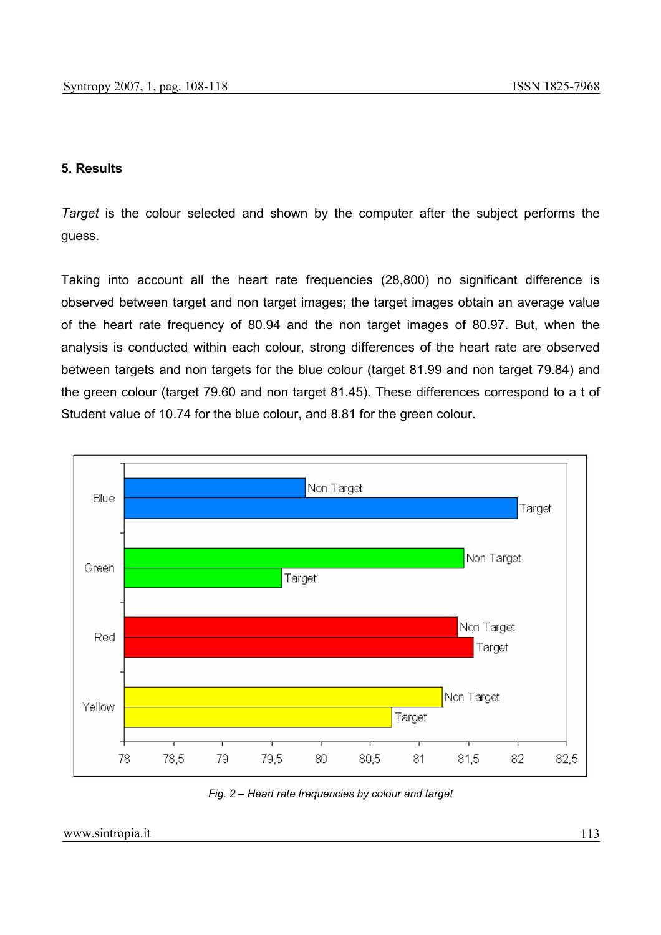# **5. Results**

*Target* is the colour selected and shown by the computer after the subject performs the guess.

Taking into account all the heart rate frequencies (28,800) no significant difference is observed between target and non target images; the target images obtain an average value of the heart rate frequency of 80.94 and the non target images of 80.97. But, when the analysis is conducted within each colour, strong differences of the heart rate are observed between targets and non targets for the blue colour (target 81.99 and non target 79.84) and the green colour (target 79.60 and non target 81.45). These differences correspond to a t of Student value of 10.74 for the blue colour, and 8.81 for the green colour.



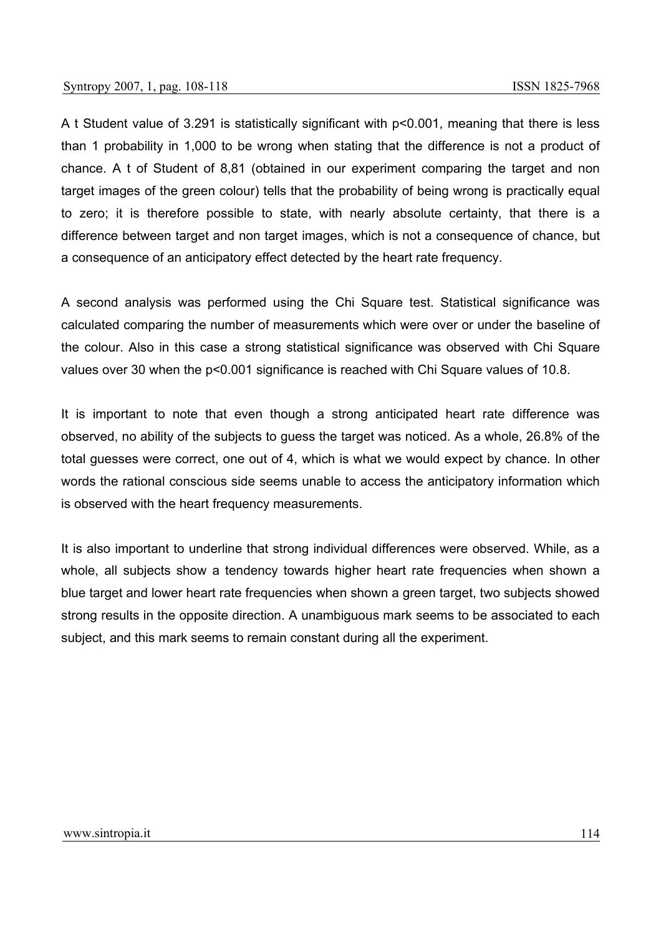A t Student value of 3.291 is statistically significant with p<0.001, meaning that there is less than 1 probability in 1,000 to be wrong when stating that the difference is not a product of chance. A t of Student of 8,81 (obtained in our experiment comparing the target and non target images of the green colour) tells that the probability of being wrong is practically equal to zero; it is therefore possible to state, with nearly absolute certainty, that there is a difference between target and non target images, which is not a consequence of chance, but a consequence of an anticipatory effect detected by the heart rate frequency.

A second analysis was performed using the Chi Square test. Statistical significance was calculated comparing the number of measurements which were over or under the baseline of the colour. Also in this case a strong statistical significance was observed with Chi Square values over 30 when the p<0.001 significance is reached with Chi Square values of 10.8.

It is important to note that even though a strong anticipated heart rate difference was observed, no ability of the subjects to guess the target was noticed. As a whole, 26.8% of the total guesses were correct, one out of 4, which is what we would expect by chance. In other words the rational conscious side seems unable to access the anticipatory information which is observed with the heart frequency measurements.

It is also important to underline that strong individual differences were observed. While, as a whole, all subjects show a tendency towards higher heart rate frequencies when shown a blue target and lower heart rate frequencies when shown a green target, two subjects showed strong results in the opposite direction. A unambiguous mark seems to be associated to each subject, and this mark seems to remain constant during all the experiment.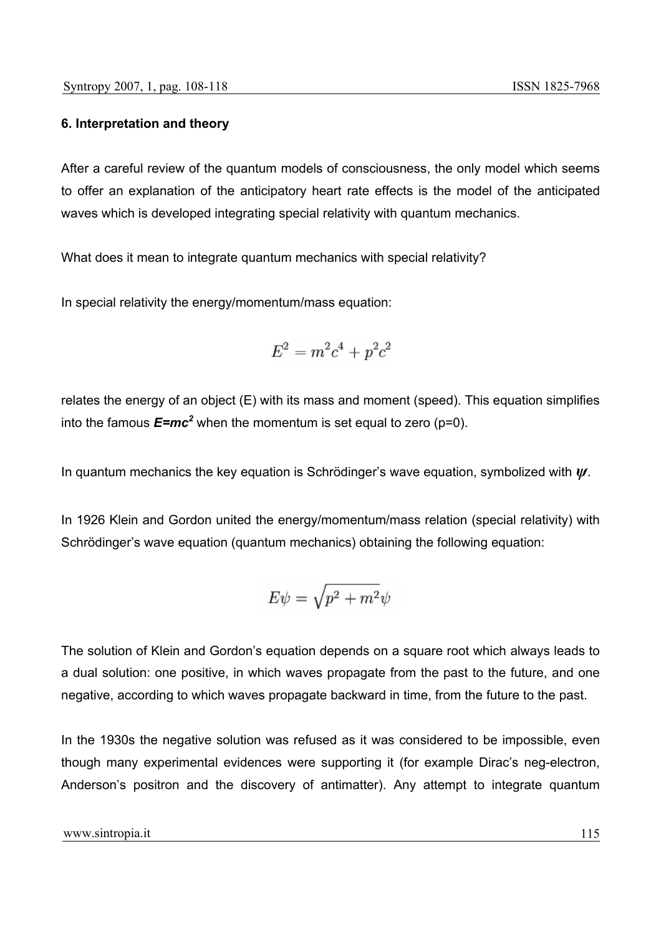## **6. Interpretation and theory**

After a careful review of the quantum models of consciousness, the only model which seems to offer an explanation of the anticipatory heart rate effects is the model of the anticipated waves which is developed integrating special relativity with quantum mechanics.

What does it mean to integrate quantum mechanics with special relativity?

In special relativity the energy/momentum/mass equation:

$$
E^2 = m^2c^4 + p^2c^2
$$

relates the energy of an object (E) with its mass and moment (speed). This equation simplifies into the famous  $E=mc^2$  when the momentum is set equal to zero (p=0).

In quantum mechanics the key equation is Schrödinger's wave equation, symbolized with *ψ*.

In 1926 Klein and Gordon united the energy/momentum/mass relation (special relativity) with Schrödinger's wave equation (quantum mechanics) obtaining the following equation:

$$
E\psi=\sqrt{p^2+m^2}\psi
$$

The solution of Klein and Gordon's equation depends on a square root which always leads to a dual solution: one positive, in which waves propagate from the past to the future, and one negative, according to which waves propagate backward in time, from the future to the past.

In the 1930s the negative solution was refused as it was considered to be impossible, even though many experimental evidences were supporting it (for example Dirac's neg-electron, Anderson's positron and the discovery of antimatter). Any attempt to integrate quantum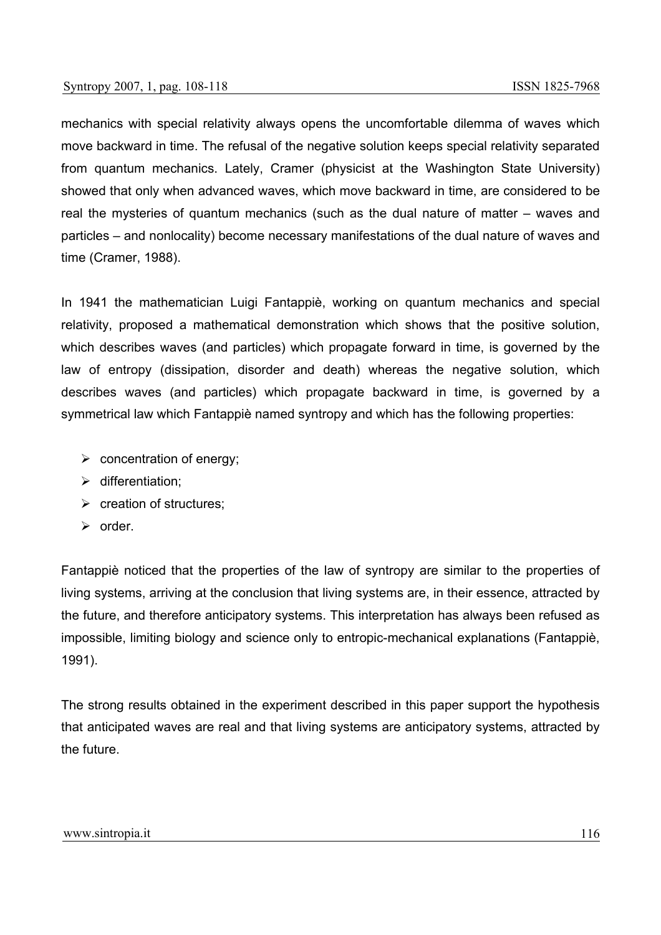mechanics with special relativity always opens the uncomfortable dilemma of waves which move backward in time. The refusal of the negative solution keeps special relativity separated from quantum mechanics. Lately, Cramer (physicist at the Washington State University) showed that only when advanced waves, which move backward in time, are considered to be real the mysteries of quantum mechanics (such as the dual nature of matter – waves and particles – and nonlocality) become necessary manifestations of the dual nature of waves and time (Cramer, 1988).

In 1941 the mathematician Luigi Fantappiè, working on quantum mechanics and special relativity, proposed a mathematical demonstration which shows that the positive solution, which describes waves (and particles) which propagate forward in time, is governed by the law of entropy (dissipation, disorder and death) whereas the negative solution, which describes waves (and particles) which propagate backward in time, is governed by a symmetrical law which Fantappiè named syntropy and which has the following properties:

- $\triangleright$  concentration of energy;
- $\triangleright$  differentiation:
- $\triangleright$  creation of structures:
- $\triangleright$  order.

Fantappiè noticed that the properties of the law of syntropy are similar to the properties of living systems, arriving at the conclusion that living systems are, in their essence, attracted by the future, and therefore anticipatory systems. This interpretation has always been refused as impossible, limiting biology and science only to entropic-mechanical explanations (Fantappiè, 1991).

The strong results obtained in the experiment described in this paper support the hypothesis that anticipated waves are real and that living systems are anticipatory systems, attracted by the future.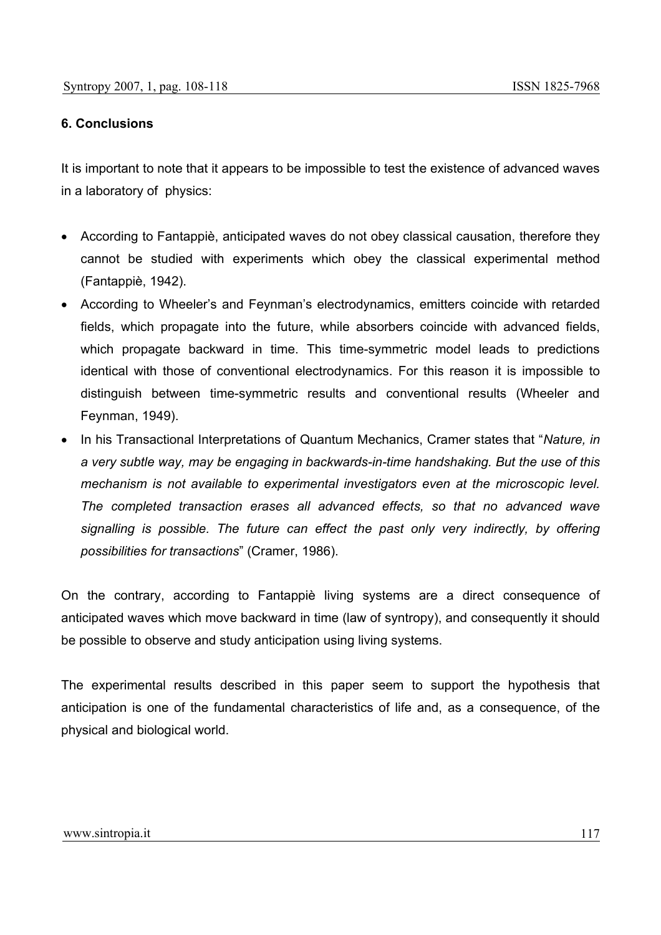### **6. Conclusions**

It is important to note that it appears to be impossible to test the existence of advanced waves in a laboratory of physics:

- According to Fantappiè, anticipated waves do not obey classical causation, therefore they cannot be studied with experiments which obey the classical experimental method (Fantappiè, 1942).
- According to Wheeler's and Feynman's electrodynamics, emitters coincide with retarded fields, which propagate into the future, while absorbers coincide with advanced fields, which propagate backward in time. This time-symmetric model leads to predictions identical with those of conventional electrodynamics. For this reason it is impossible to distinguish between time-symmetric results and conventional results (Wheeler and Feynman, 1949).
- In his Transactional Interpretations of Quantum Mechanics, Cramer states that "*Nature, in a very subtle way, may be engaging in backwards-in-time handshaking. But the use of this mechanism is not available to experimental investigators even at the microscopic level. The completed transaction erases all advanced effects, so that no advanced wave signalling is possible. The future can effect the past only very indirectly, by offering possibilities for transactions*" (Cramer, 1986).

On the contrary, according to Fantappiè living systems are a direct consequence of anticipated waves which move backward in time (law of syntropy), and consequently it should be possible to observe and study anticipation using living systems.

The experimental results described in this paper seem to support the hypothesis that anticipation is one of the fundamental characteristics of life and, as a consequence, of the physical and biological world.